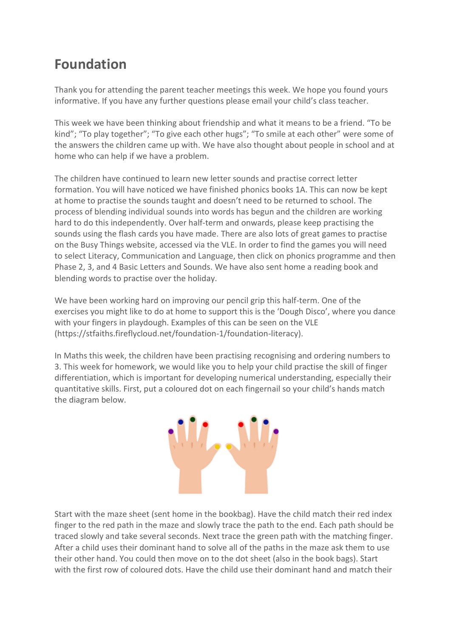## **Foundation**

Thank you for attending the parent teacher meetings this week. We hope you found yours informative. If you have any further questions please email your child's class teacher.

This week we have been thinking about friendship and what it means to be a friend. "To be kind"; "To play together"; "To give each other hugs"; "To smile at each other" were some of the answers the children came up with. We have also thought about people in school and at home who can help if we have a problem.

The children have continued to learn new letter sounds and practise correct letter formation. You will have noticed we have finished phonics books 1A. This can now be kept at home to practise the sounds taught and doesn't need to be returned to school. The process of blending individual sounds into words has begun and the children are working hard to do this independently. Over half-term and onwards, please keep practising the sounds using the flash cards you have made. There are also lots of great games to practise on the Busy Things website, accessed via the VLE. In order to find the games you will need to select Literacy, Communication and Language, then click on phonics programme and then Phase 2, 3, and 4 Basic Letters and Sounds. We have also sent home a reading book and blending words to practise over the holiday.

We have been working hard on improving our pencil grip this half-term. One of the exercises you might like to do at home to support this is the 'Dough Disco', where you dance with your fingers in playdough. Examples of this can be seen on the VLE (https://stfaiths.fireflycloud.net/foundation-1/foundation-literacy).

In Maths this week, the children have been practising recognising and ordering numbers to 3. This week for homework, we would like you to help your child practise the skill of finger differentiation, which is important for developing numerical understanding, especially their quantitative skills. First, put a coloured dot on each fingernail so your child's hands match the diagram below.



Start with the maze sheet (sent home in the bookbag). Have the child match their red index finger to the red path in the maze and slowly trace the path to the end. Each path should be traced slowly and take several seconds. Next trace the green path with the matching finger. After a child uses their dominant hand to solve all of the paths in the maze ask them to use their other hand. You could then move on to the dot sheet (also in the book bags). Start with the first row of coloured dots. Have the child use their dominant hand and match their